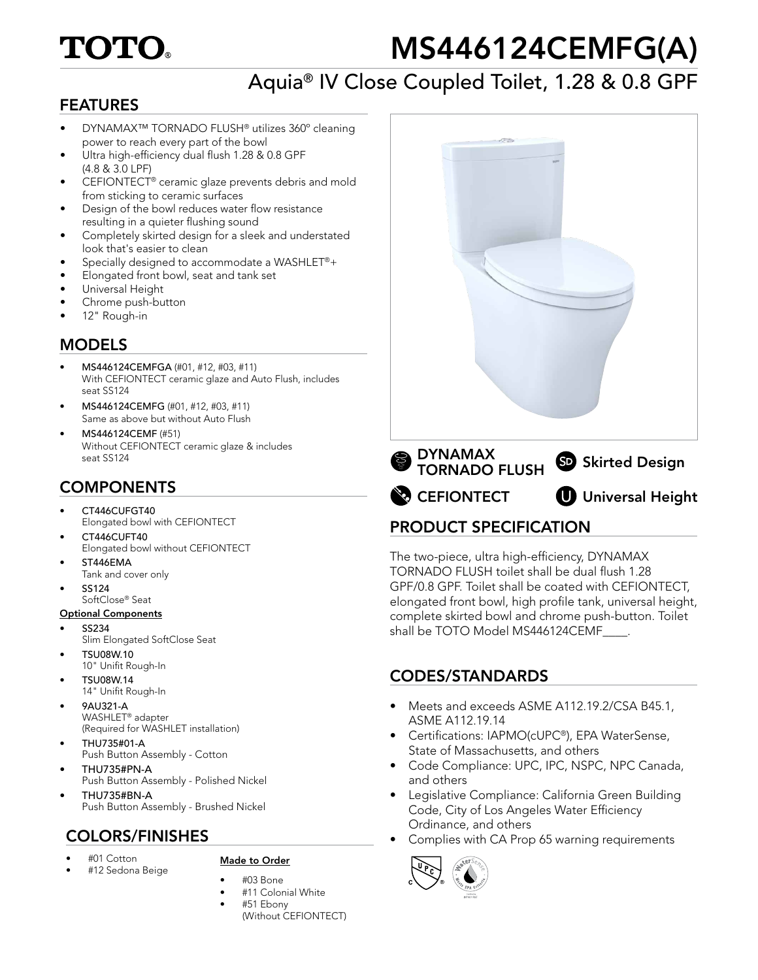# **TOTO**

# MS446124CEMFG(A)

# Aquia® IV Close Coupled Toilet, 1.28 & 0.8 GPF

## FEATURES

- DYNAMAX™ TORNADO FLUSH® utilizes 360º cleaning power to reach every part of the bowl
- Ultra high-efficiency dual flush 1.28 & 0.8 GPF (4.8 & 3.0 LPF)
- CEFIONTECT® ceramic glaze prevents debris and mold from sticking to ceramic surfaces
- Design of the bowl reduces water flow resistance resulting in a quieter flushing sound
- Completely skirted design for a sleek and understated look that's easier to clean
- Specially designed to accommodate a WASHLET®+
- Elongated front bowl, seat and tank set
- Universal Height
- Chrome push-button
- 12" Rough-in

# MODELS

- MS446124CEMFGA (#01, #12, #03, #11) With CEFIONTECT ceramic glaze and Auto Flush, includes seat SS124
- MS446124CEMFG (#01, #12, #03, #11) Same as above but without Auto Flush
- MS446124CEMF (#51) Without CEFIONTECT ceramic glaze & includes seat SS124

# **COMPONENTS**

- CT446CUFGT40 Elongated bowl with CEFIONTECT
- CT446CUFT40 Elongated bowl without CEFIONTECT
- ST446EMA
- Tank and cover only
- SS124 SoftClose® Seat

#### Optional Components

- SS234
- Slim Elongated SoftClose Seat
- TSU08W.10 10" Unifit Rough-In
- TSU08W.14 14" Unifit Rough-In
- 9AU321-A WASHLET® adapter (Required for WASHLET installation)
- THU735#01-A Push Button Assembly - Cotton
- THU735#PN-A Push Button Assembly - Polished Nickel • THU735#BN-A
- Push Button Assembly Brushed Nickel

# COLORS/FINISHES

• #12 Sedona Beige

• #01 Cotton

#### Made to Order

- #03 Bone
- #11 Colonial White
- #51 Ebony (Without CEFIONTECT)



# PRODUCT SPECIFICATION

The two-piece, ultra high-efficiency, DYNAMAX TORNADO FLUSH toilet shall be dual flush 1.28 GPF/0.8 GPF. Toilet shall be coated with CEFIONTECT, elongated front bowl, high profile tank, universal height, complete skirted bowl and chrome push-button. Toilet shall be TOTO Model MS446124CEMF

# CODES/STANDARDS

- Meets and exceeds ASME A112.19.2/CSA B45.1, ASME A112.19.14
- Certifications: IAPMO(cUPC®), EPA WaterSense, State of Massachusetts, and others
- Code Compliance: UPC, IPC, NSPC, NPC Canada, and others
- Legislative Compliance: California Green Building Code, City of Los Angeles Water Efficiency Ordinance, and others
- Complies with CA Prop 65 warning requirements